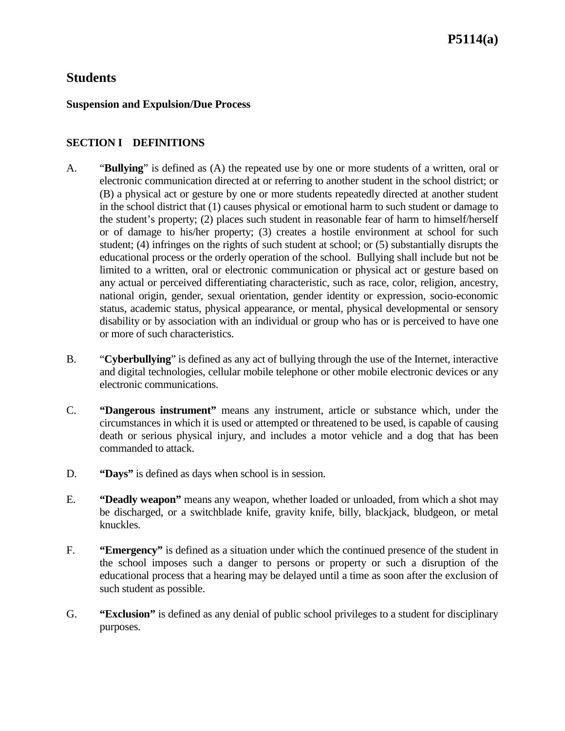#### **Suspension and Expulsion/Due Process**

### **SECTION I DEFINITIONS**

- A. "**Bullying**" is defined as (A) the repeated use by one or more students of a written, oral or electronic communication directed at or referring to another student in the school district; or (B) a physical act or gesture by one or more students repeatedly directed at another student in the school district that (1) causes physical or emotional harm to such student or damage to the student's property; (2) places such student in reasonable fear of harm to himself/herself or of damage to his/her property; (3) creates a hostile environment at school for such student; (4) infringes on the rights of such student at school; or (5) substantially disrupts the educational process or the orderly operation of the school. Bullying shall include but not be limited to a written, oral or electronic communication or physical act or gesture based on any actual or perceived differentiating characteristic, such as race, color, religion, ancestry, national origin, gender, sexual orientation, gender identity or expression, socio-economic status, academic status, physical appearance, or mental, physical developmental or sensory disability or by association with an individual or group who has or is perceived to have one or more of such characteristics.
- B. "**Cyberbullying**" is defined as any act of bullying through the use of the Internet, interactive and digital technologies, cellular mobile telephone or other mobile electronic devices or any electronic communications.
- C. **"Dangerous instrument"** means any instrument, article or substance which, under the circumstances in which it is used or attempted or threatened to be used, is capable of causing death or serious physical injury, and includes a motor vehicle and a dog that has been commanded to attack.
- D. **"Days"** is defined as days when school is in session.
- E. **"Deadly weapon"** means any weapon, whether loaded or unloaded, from which a shot may be discharged, or a switchblade knife, gravity knife, billy, blackjack, bludgeon, or metal knuckles.
- F. **"Emergency"** is defined as a situation under which the continued presence of the student in the school imposes such a danger to persons or property or such a disruption of the educational process that a hearing may be delayed until a time as soon after the exclusion of such student as possible.
- G. **"Exclusion"** is defined as any denial of public school privileges to a student for disciplinary purposes.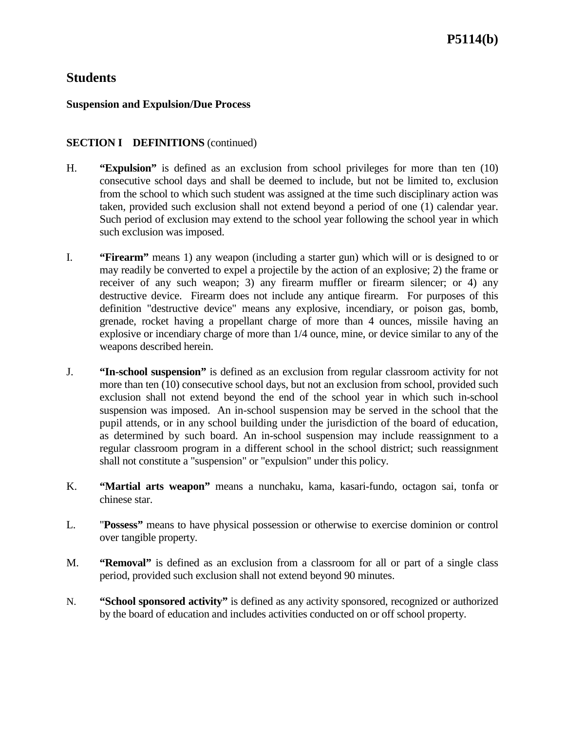### **Suspension and Expulsion/Due Process**

### **SECTION I DEFINITIONS** (continued)

- H. **"Expulsion"** is defined as an exclusion from school privileges for more than ten (10) consecutive school days and shall be deemed to include, but not be limited to, exclusion from the school to which such student was assigned at the time such disciplinary action was taken, provided such exclusion shall not extend beyond a period of one (1) calendar year. Such period of exclusion may extend to the school year following the school year in which such exclusion was imposed.
- I. **"Firearm"** means 1) any weapon (including a starter gun) which will or is designed to or may readily be converted to expel a projectile by the action of an explosive; 2) the frame or receiver of any such weapon; 3) any firearm muffler or firearm silencer; or 4) any destructive device. Firearm does not include any antique firearm. For purposes of this definition "destructive device" means any explosive, incendiary, or poison gas, bomb, grenade, rocket having a propellant charge of more than 4 ounces, missile having an explosive or incendiary charge of more than 1/4 ounce, mine, or device similar to any of the weapons described herein.
- J. **"In-school suspension"** is defined as an exclusion from regular classroom activity for not more than ten (10) consecutive school days, but not an exclusion from school, provided such exclusion shall not extend beyond the end of the school year in which such in-school suspension was imposed. An in-school suspension may be served in the school that the pupil attends, or in any school building under the jurisdiction of the board of education, as determined by such board. An in-school suspension may include reassignment to a regular classroom program in a different school in the school district; such reassignment shall not constitute a "suspension" or "expulsion" under this policy.
- K. **"Martial arts weapon"** means a nunchaku, kama, kasari-fundo, octagon sai, tonfa or chinese star.
- L. "**Possess"** means to have physical possession or otherwise to exercise dominion or control over tangible property.
- M. **"Removal"** is defined as an exclusion from a classroom for all or part of a single class period, provided such exclusion shall not extend beyond 90 minutes.
- N. **"School sponsored activity"** is defined as any activity sponsored, recognized or authorized by the board of education and includes activities conducted on or off school property.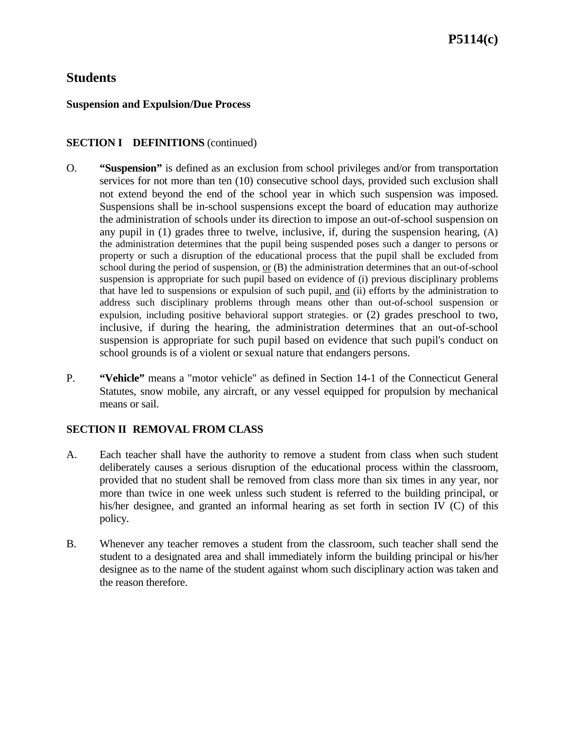## **P5114(c)**

### **Students**

#### **Suspension and Expulsion/Due Process**

### **SECTION I DEFINITIONS** (continued)

- O. **"Suspension"** is defined as an exclusion from school privileges and/or from transportation services for not more than ten (10) consecutive school days, provided such exclusion shall not extend beyond the end of the school year in which such suspension was imposed. Suspensions shall be in-school suspensions except the board of education may authorize the administration of schools under its direction to impose an out-of-school suspension on any pupil in  $(1)$  grades three to twelve, inclusive, if, during the suspension hearing,  $(A)$ the administration determines that the pupil being suspended poses such a danger to persons or property or such a disruption of the educational process that the pupil shall be excluded from school during the period of suspension, or (B) the administration determines that an out-of-school suspension is appropriate for such pupil based on evidence of (i) previous disciplinary problems that have led to suspensions or expulsion of such pupil, and (ii) efforts by the administration to address such disciplinary problems through means other than out-of-school suspension or expulsion, including positive behavioral support strategies. or (2) grades preschool to two, inclusive, if during the hearing, the administration determines that an out-of-school suspension is appropriate for such pupil based on evidence that such pupil's conduct on school grounds is of a violent or sexual nature that endangers persons.
- P. **"Vehicle"** means a "motor vehicle" as defined in Section 14-1 of the Connecticut General Statutes, snow mobile, any aircraft, or any vessel equipped for propulsion by mechanical means or sail.

### **SECTION II REMOVAL FROM CLASS**

- A. Each teacher shall have the authority to remove a student from class when such student deliberately causes a serious disruption of the educational process within the classroom, provided that no student shall be removed from class more than six times in any year, nor more than twice in one week unless such student is referred to the building principal, or his/her designee, and granted an informal hearing as set forth in section IV (C) of this policy.
- B. Whenever any teacher removes a student from the classroom, such teacher shall send the student to a designated area and shall immediately inform the building principal or his/her designee as to the name of the student against whom such disciplinary action was taken and the reason therefore.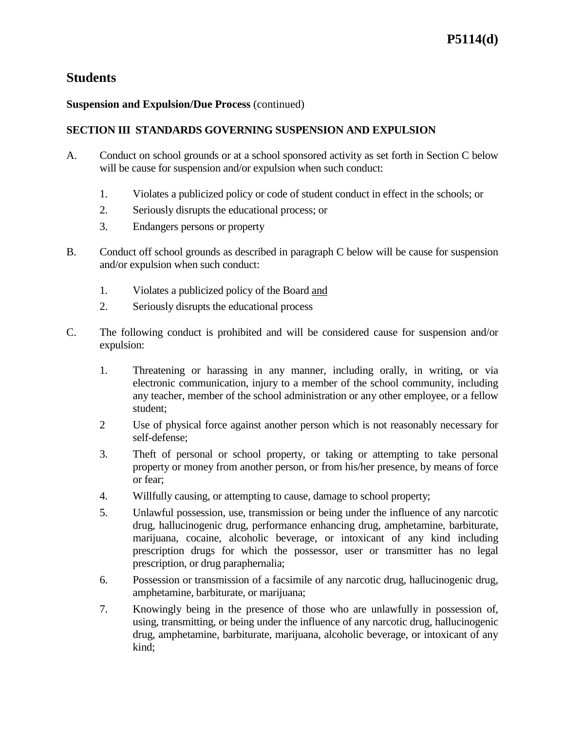### **Suspension and Expulsion/Due Process** (continued)

### **SECTION III STANDARDS GOVERNING SUSPENSION AND EXPULSION**

- A. Conduct on school grounds or at a school sponsored activity as set forth in Section C below will be cause for suspension and/or expulsion when such conduct:
	- 1. Violates a publicized policy or code of student conduct in effect in the schools; or
	- 2. Seriously disrupts the educational process; or
	- 3. Endangers persons or property
- B. Conduct off school grounds as described in paragraph C below will be cause for suspension and/or expulsion when such conduct:
	- 1. Violates a publicized policy of the Board and
	- 2. Seriously disrupts the educational process
- C. The following conduct is prohibited and will be considered cause for suspension and/or expulsion:
	- 1. Threatening or harassing in any manner, including orally, in writing, or via electronic communication, injury to a member of the school community, including any teacher, member of the school administration or any other employee, or a fellow student;
	- 2 Use of physical force against another person which is not reasonably necessary for self-defense;
	- 3. Theft of personal or school property, or taking or attempting to take personal property or money from another person, or from his/her presence, by means of force or fear;
	- 4. Willfully causing, or attempting to cause, damage to school property;
	- 5. Unlawful possession, use, transmission or being under the influence of any narcotic drug, hallucinogenic drug, performance enhancing drug, amphetamine, barbiturate, marijuana, cocaine, alcoholic beverage, or intoxicant of any kind including prescription drugs for which the possessor, user or transmitter has no legal prescription, or drug paraphernalia;
	- 6. Possession or transmission of a facsimile of any narcotic drug, hallucinogenic drug, amphetamine, barbiturate, or marijuana;
	- 7. Knowingly being in the presence of those who are unlawfully in possession of, using, transmitting, or being under the influence of any narcotic drug, hallucinogenic drug, amphetamine, barbiturate, marijuana, alcoholic beverage, or intoxicant of any kind;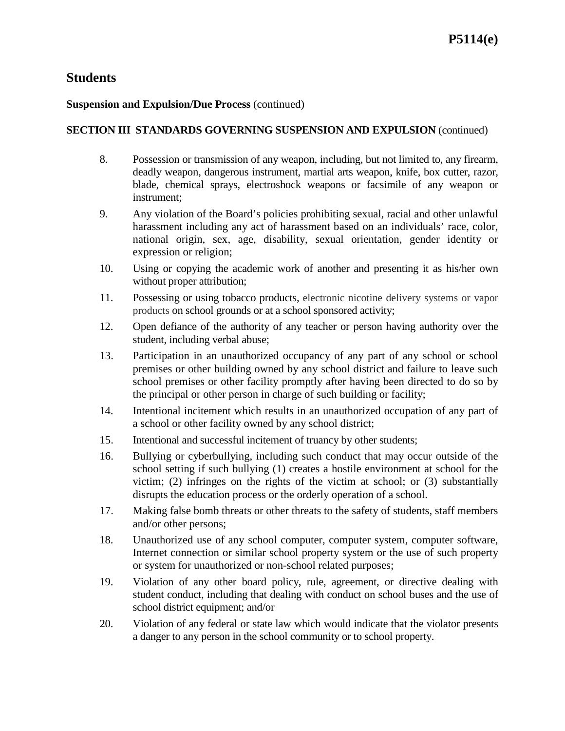### **Suspension and Expulsion/Due Process** (continued)

### **SECTION III STANDARDS GOVERNING SUSPENSION AND EXPULSION** (continued)

- 8. Possession or transmission of any weapon, including, but not limited to, any firearm, deadly weapon, dangerous instrument, martial arts weapon, knife, box cutter, razor, blade, chemical sprays, electroshock weapons or facsimile of any weapon or instrument;
- 9. Any violation of the Board's policies prohibiting sexual, racial and other unlawful harassment including any act of harassment based on an individuals' race, color, national origin, sex, age, disability, sexual orientation, gender identity or expression or religion;
- 10. Using or copying the academic work of another and presenting it as his/her own without proper attribution;
- 11. Possessing or using tobacco products, electronic nicotine delivery systems or vapor products on school grounds or at a school sponsored activity;
- 12. Open defiance of the authority of any teacher or person having authority over the student, including verbal abuse;
- 13. Participation in an unauthorized occupancy of any part of any school or school premises or other building owned by any school district and failure to leave such school premises or other facility promptly after having been directed to do so by the principal or other person in charge of such building or facility;
- 14. Intentional incitement which results in an unauthorized occupation of any part of a school or other facility owned by any school district;
- 15. Intentional and successful incitement of truancy by other students;
- 16. Bullying or cyberbullying, including such conduct that may occur outside of the school setting if such bullying (1) creates a hostile environment at school for the victim; (2) infringes on the rights of the victim at school; or (3) substantially disrupts the education process or the orderly operation of a school.
- 17. Making false bomb threats or other threats to the safety of students, staff members and/or other persons;
- 18. Unauthorized use of any school computer, computer system, computer software, Internet connection or similar school property system or the use of such property or system for unauthorized or non-school related purposes;
- 19. Violation of any other board policy, rule, agreement, or directive dealing with student conduct, including that dealing with conduct on school buses and the use of school district equipment; and/or
- 20. Violation of any federal or state law which would indicate that the violator presents a danger to any person in the school community or to school property.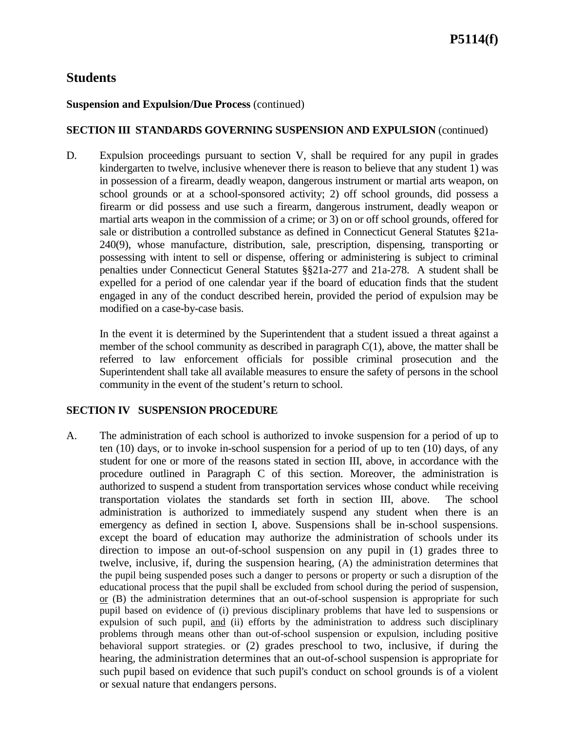### **Suspension and Expulsion/Due Process** (continued)

### **SECTION III STANDARDS GOVERNING SUSPENSION AND EXPULSION** (continued)

D. Expulsion proceedings pursuant to section V, shall be required for any pupil in grades kindergarten to twelve, inclusive whenever there is reason to believe that any student 1) was in possession of a firearm, deadly weapon, dangerous instrument or martial arts weapon, on school grounds or at a school-sponsored activity; 2) off school grounds, did possess a firearm or did possess and use such a firearm, dangerous instrument, deadly weapon or martial arts weapon in the commission of a crime; or 3) on or off school grounds, offered for sale or distribution a controlled substance as defined in Connecticut General Statutes §21a-240(9), whose manufacture, distribution, sale, prescription, dispensing, transporting or possessing with intent to sell or dispense, offering or administering is subject to criminal penalties under Connecticut General Statutes §§21a-277 and 21a-278. A student shall be expelled for a period of one calendar year if the board of education finds that the student engaged in any of the conduct described herein, provided the period of expulsion may be modified on a case-by-case basis.

In the event it is determined by the Superintendent that a student issued a threat against a member of the school community as described in paragraph  $C(1)$ , above, the matter shall be referred to law enforcement officials for possible criminal prosecution and the Superintendent shall take all available measures to ensure the safety of persons in the school community in the event of the student's return to school.

#### **SECTION IV SUSPENSION PROCEDURE**

A. The administration of each school is authorized to invoke suspension for a period of up to ten (10) days, or to invoke in-school suspension for a period of up to ten (10) days, of any student for one or more of the reasons stated in section III, above, in accordance with the procedure outlined in Paragraph C of this section. Moreover, the administration is authorized to suspend a student from transportation services whose conduct while receiving transportation violates the standards set forth in section III, above. The school administration is authorized to immediately suspend any student when there is an emergency as defined in section I, above. Suspensions shall be in-school suspensions. except the board of education may authorize the administration of schools under its direction to impose an out-of-school suspension on any pupil in (1) grades three to twelve, inclusive, if, during the suspension hearing, (A) the administration determines that the pupil being suspended poses such a danger to persons or property or such a disruption of the educational process that the pupil shall be excluded from school during the period of suspension, or (B) the administration determines that an out-of-school suspension is appropriate for such pupil based on evidence of (i) previous disciplinary problems that have led to suspensions or expulsion of such pupil, and (ii) efforts by the administration to address such disciplinary problems through means other than out-of-school suspension or expulsion, including positive behavioral support strategies. or (2) grades preschool to two, inclusive, if during the hearing, the administration determines that an out-of-school suspension is appropriate for such pupil based on evidence that such pupil's conduct on school grounds is of a violent or sexual nature that endangers persons.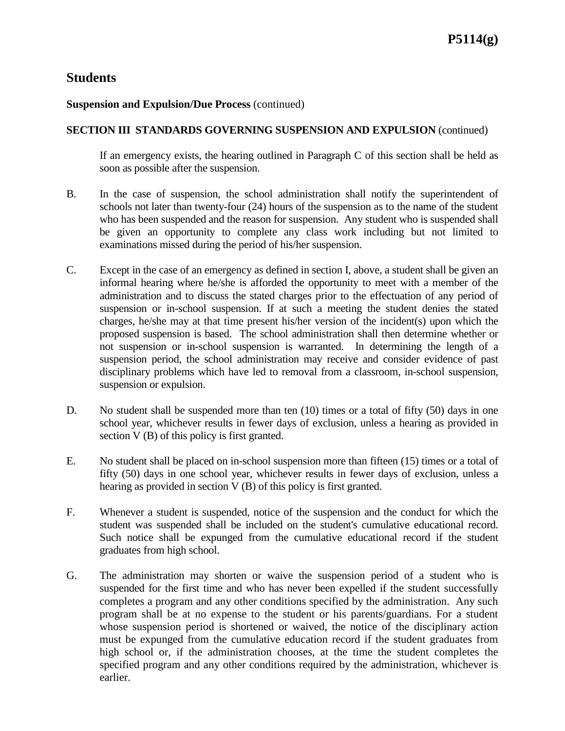#### **Suspension and Expulsion/Due Process** (continued)

#### **SECTION III STANDARDS GOVERNING SUSPENSION AND EXPULSION** (continued)

If an emergency exists, the hearing outlined in Paragraph C of this section shall be held as soon as possible after the suspension.

- B. In the case of suspension, the school administration shall notify the superintendent of schools not later than twenty-four (24) hours of the suspension as to the name of the student who has been suspended and the reason for suspension. Any student who is suspended shall be given an opportunity to complete any class work including but not limited to examinations missed during the period of his/her suspension.
- C. Except in the case of an emergency as defined in section I, above, a student shall be given an informal hearing where he/she is afforded the opportunity to meet with a member of the administration and to discuss the stated charges prior to the effectuation of any period of suspension or in-school suspension. If at such a meeting the student denies the stated charges, he/she may at that time present his/her version of the incident(s) upon which the proposed suspension is based. The school administration shall then determine whether or not suspension or in-school suspension is warranted. In determining the length of a suspension period, the school administration may receive and consider evidence of past disciplinary problems which have led to removal from a classroom, in-school suspension, suspension or expulsion.
- D. No student shall be suspended more than ten  $(10)$  times or a total of fifty  $(50)$  days in one school year, whichever results in fewer days of exclusion, unless a hearing as provided in section V (B) of this policy is first granted.
- E. No student shall be placed on in-school suspension more than fifteen (15) times or a total of fifty (50) days in one school year, whichever results in fewer days of exclusion, unless a hearing as provided in section V (B) of this policy is first granted.
- F. Whenever a student is suspended, notice of the suspension and the conduct for which the student was suspended shall be included on the student's cumulative educational record. Such notice shall be expunged from the cumulative educational record if the student graduates from high school.
- G. The administration may shorten or waive the suspension period of a student who is suspended for the first time and who has never been expelled if the student successfully completes a program and any other conditions specified by the administration. Any such program shall be at no expense to the student or his parents/guardians. For a student whose suspension period is shortened or waived, the notice of the disciplinary action must be expunged from the cumulative education record if the student graduates from high school or, if the administration chooses, at the time the student completes the specified program and any other conditions required by the administration, whichever is earlier.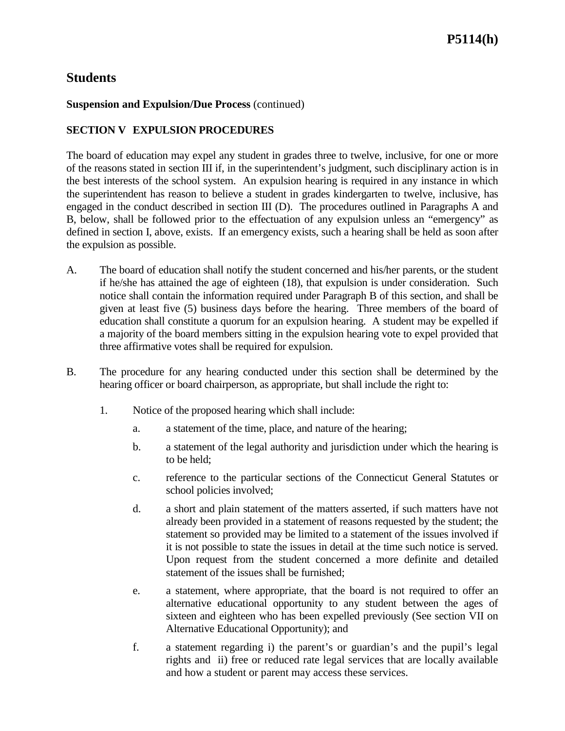### **Suspension and Expulsion/Due Process** (continued)

### **SECTION V EXPULSION PROCEDURES**

The board of education may expel any student in grades three to twelve, inclusive, for one or more of the reasons stated in section III if, in the superintendent's judgment, such disciplinary action is in the best interests of the school system. An expulsion hearing is required in any instance in which the superintendent has reason to believe a student in grades kindergarten to twelve, inclusive, has engaged in the conduct described in section III (D). The procedures outlined in Paragraphs A and B, below, shall be followed prior to the effectuation of any expulsion unless an "emergency" as defined in section I, above, exists. If an emergency exists, such a hearing shall be held as soon after the expulsion as possible.

- A. The board of education shall notify the student concerned and his/her parents, or the student if he/she has attained the age of eighteen (18), that expulsion is under consideration. Such notice shall contain the information required under Paragraph B of this section, and shall be given at least five (5) business days before the hearing. Three members of the board of education shall constitute a quorum for an expulsion hearing. A student may be expelled if a majority of the board members sitting in the expulsion hearing vote to expel provided that three affirmative votes shall be required for expulsion.
- B. The procedure for any hearing conducted under this section shall be determined by the hearing officer or board chairperson, as appropriate, but shall include the right to:
	- 1. Notice of the proposed hearing which shall include:
		- a. a statement of the time, place, and nature of the hearing;
		- b. a statement of the legal authority and jurisdiction under which the hearing is to be held;
		- c. reference to the particular sections of the Connecticut General Statutes or school policies involved;
		- d. a short and plain statement of the matters asserted, if such matters have not already been provided in a statement of reasons requested by the student; the statement so provided may be limited to a statement of the issues involved if it is not possible to state the issues in detail at the time such notice is served. Upon request from the student concerned a more definite and detailed statement of the issues shall be furnished;
		- e. a statement, where appropriate, that the board is not required to offer an alternative educational opportunity to any student between the ages of sixteen and eighteen who has been expelled previously (See section VII on Alternative Educational Opportunity); and
		- f. a statement regarding i) the parent's or guardian's and the pupil's legal rights and ii) free or reduced rate legal services that are locally available and how a student or parent may access these services.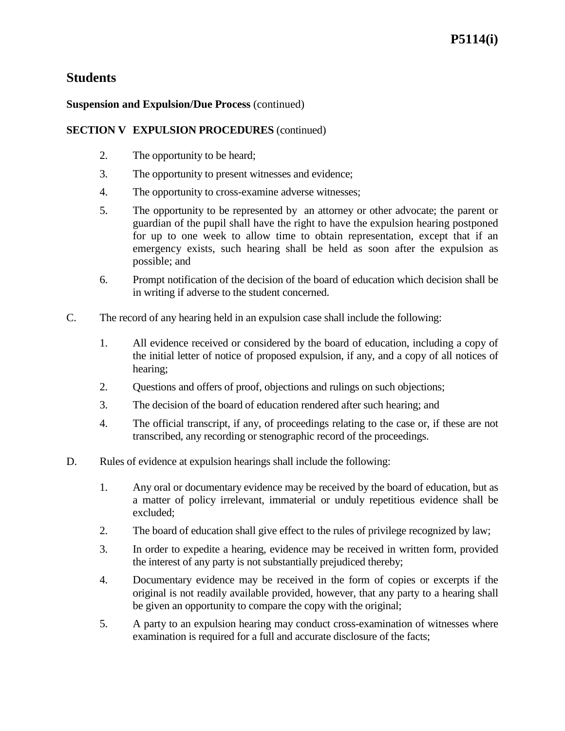### **Suspension and Expulsion/Due Process** (continued)

### **SECTION V EXPULSION PROCEDURES** (continued)

- 2. The opportunity to be heard;
- 3. The opportunity to present witnesses and evidence;
- 4. The opportunity to cross-examine adverse witnesses;
- 5. The opportunity to be represented by an attorney or other advocate; the parent or guardian of the pupil shall have the right to have the expulsion hearing postponed for up to one week to allow time to obtain representation, except that if an emergency exists, such hearing shall be held as soon after the expulsion as possible; and
- 6. Prompt notification of the decision of the board of education which decision shall be in writing if adverse to the student concerned.
- C. The record of any hearing held in an expulsion case shall include the following:
	- 1. All evidence received or considered by the board of education, including a copy of the initial letter of notice of proposed expulsion, if any, and a copy of all notices of hearing;
	- 2. Questions and offers of proof, objections and rulings on such objections;
	- 3. The decision of the board of education rendered after such hearing; and
	- 4. The official transcript, if any, of proceedings relating to the case or, if these are not transcribed, any recording or stenographic record of the proceedings.
- D. Rules of evidence at expulsion hearings shall include the following:
	- 1. Any oral or documentary evidence may be received by the board of education, but as a matter of policy irrelevant, immaterial or unduly repetitious evidence shall be excluded;
	- 2. The board of education shall give effect to the rules of privilege recognized by law;
	- 3. In order to expedite a hearing, evidence may be received in written form, provided the interest of any party is not substantially prejudiced thereby;
	- 4. Documentary evidence may be received in the form of copies or excerpts if the original is not readily available provided, however, that any party to a hearing shall be given an opportunity to compare the copy with the original;
	- 5. A party to an expulsion hearing may conduct cross-examination of witnesses where examination is required for a full and accurate disclosure of the facts;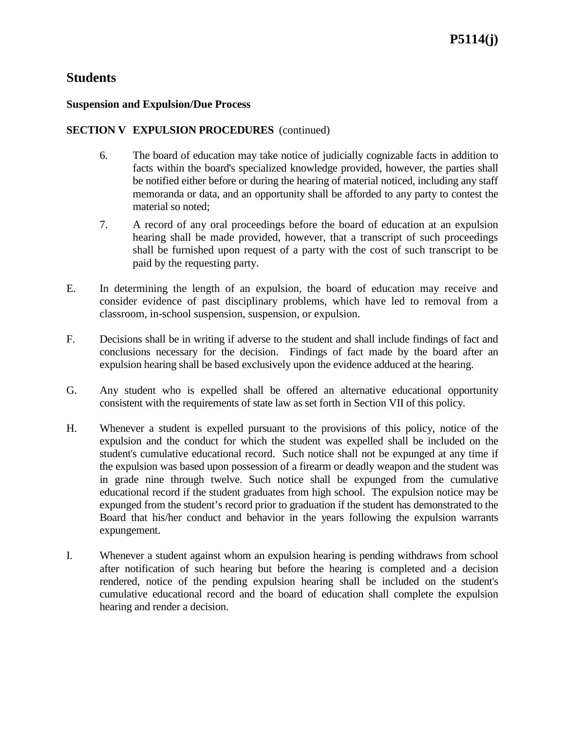#### **Suspension and Expulsion/Due Process**

### **SECTION V EXPULSION PROCEDURES** (continued)

- 6. The board of education may take notice of judicially cognizable facts in addition to facts within the board's specialized knowledge provided, however, the parties shall be notified either before or during the hearing of material noticed, including any staff memoranda or data, and an opportunity shall be afforded to any party to contest the material so noted;
- 7. A record of any oral proceedings before the board of education at an expulsion hearing shall be made provided, however, that a transcript of such proceedings shall be furnished upon request of a party with the cost of such transcript to be paid by the requesting party.
- E. In determining the length of an expulsion, the board of education may receive and consider evidence of past disciplinary problems, which have led to removal from a classroom, in-school suspension, suspension, or expulsion.
- F. Decisions shall be in writing if adverse to the student and shall include findings of fact and conclusions necessary for the decision. Findings of fact made by the board after an expulsion hearing shall be based exclusively upon the evidence adduced at the hearing.
- G. Any student who is expelled shall be offered an alternative educational opportunity consistent with the requirements of state law as set forth in Section VII of this policy.
- H. Whenever a student is expelled pursuant to the provisions of this policy, notice of the expulsion and the conduct for which the student was expelled shall be included on the student's cumulative educational record. Such notice shall not be expunged at any time if the expulsion was based upon possession of a firearm or deadly weapon and the student was in grade nine through twelve. Such notice shall be expunged from the cumulative educational record if the student graduates from high school. The expulsion notice may be expunged from the student's record prior to graduation if the student has demonstrated to the Board that his/her conduct and behavior in the years following the expulsion warrants expungement.
- I. Whenever a student against whom an expulsion hearing is pending withdraws from school after notification of such hearing but before the hearing is completed and a decision rendered, notice of the pending expulsion hearing shall be included on the student's cumulative educational record and the board of education shall complete the expulsion hearing and render a decision.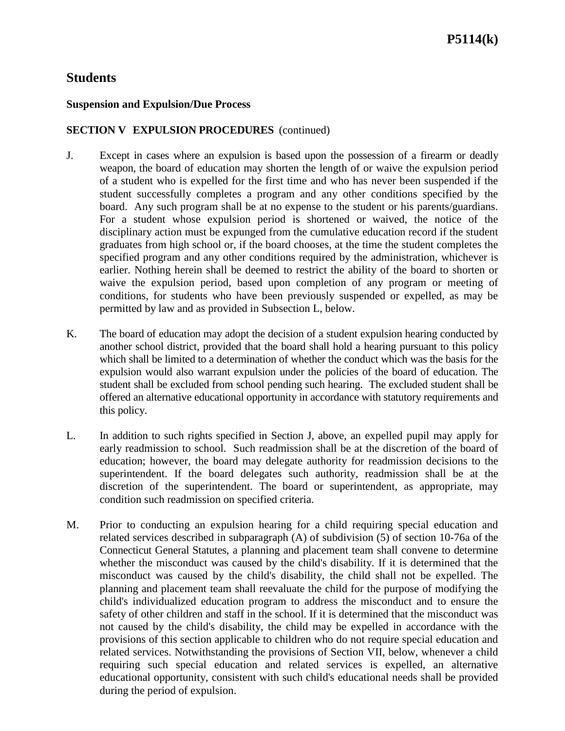#### **Suspension and Expulsion/Due Process**

### **SECTION V EXPULSION PROCEDURES** (continued)

- J. Except in cases where an expulsion is based upon the possession of a firearm or deadly weapon, the board of education may shorten the length of or waive the expulsion period of a student who is expelled for the first time and who has never been suspended if the student successfully completes a program and any other conditions specified by the board. Any such program shall be at no expense to the student or his parents/guardians. For a student whose expulsion period is shortened or waived, the notice of the disciplinary action must be expunged from the cumulative education record if the student graduates from high school or, if the board chooses, at the time the student completes the specified program and any other conditions required by the administration, whichever is earlier. Nothing herein shall be deemed to restrict the ability of the board to shorten or waive the expulsion period, based upon completion of any program or meeting of conditions, for students who have been previously suspended or expelled, as may be permitted by law and as provided in Subsection L, below.
- K. The board of education may adopt the decision of a student expulsion hearing conducted by another school district, provided that the board shall hold a hearing pursuant to this policy which shall be limited to a determination of whether the conduct which was the basis for the expulsion would also warrant expulsion under the policies of the board of education. The student shall be excluded from school pending such hearing. The excluded student shall be offered an alternative educational opportunity in accordance with statutory requirements and this policy.
- L. In addition to such rights specified in Section J, above, an expelled pupil may apply for early readmission to school. Such readmission shall be at the discretion of the board of education; however, the board may delegate authority for readmission decisions to the superintendent. If the board delegates such authority, readmission shall be at the discretion of the superintendent. The board or superintendent, as appropriate, may condition such readmission on specified criteria.
- M. Prior to conducting an expulsion hearing for a child requiring special education and related services described in subparagraph (A) of subdivision (5) of section 10-76a of the Connecticut General Statutes, a planning and placement team shall convene to determine whether the misconduct was caused by the child's disability. If it is determined that the misconduct was caused by the child's disability, the child shall not be expelled. The planning and placement team shall reevaluate the child for the purpose of modifying the child's individualized education program to address the misconduct and to ensure the safety of other children and staff in the school. If it is determined that the misconduct was not caused by the child's disability, the child may be expelled in accordance with the provisions of this section applicable to children who do not require special education and related services. Notwithstanding the provisions of Section VII, below, whenever a child requiring such special education and related services is expelled, an alternative educational opportunity, consistent with such child's educational needs shall be provided during the period of expulsion.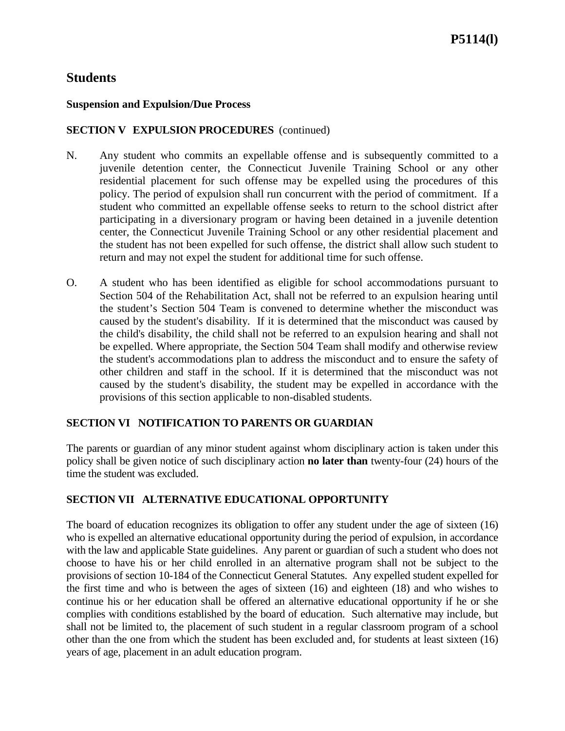#### **Suspension and Expulsion/Due Process**

### **SECTION V EXPULSION PROCEDURES** (continued)

- N. Any student who commits an expellable offense and is subsequently committed to a juvenile detention center, the Connecticut Juvenile Training School or any other residential placement for such offense may be expelled using the procedures of this policy. The period of expulsion shall run concurrent with the period of commitment. If a student who committed an expellable offense seeks to return to the school district after participating in a diversionary program or having been detained in a juvenile detention center, the Connecticut Juvenile Training School or any other residential placement and the student has not been expelled for such offense, the district shall allow such student to return and may not expel the student for additional time for such offense.
- O. A student who has been identified as eligible for school accommodations pursuant to Section 504 of the Rehabilitation Act, shall not be referred to an expulsion hearing until the student's Section 504 Team is convened to determine whether the misconduct was caused by the student's disability. If it is determined that the misconduct was caused by the child's disability, the child shall not be referred to an expulsion hearing and shall not be expelled. Where appropriate, the Section 504 Team shall modify and otherwise review the student's accommodations plan to address the misconduct and to ensure the safety of other children and staff in the school. If it is determined that the misconduct was not caused by the student's disability, the student may be expelled in accordance with the provisions of this section applicable to non-disabled students.

#### **SECTION VI NOTIFICATION TO PARENTS OR GUARDIAN**

The parents or guardian of any minor student against whom disciplinary action is taken under this policy shall be given notice of such disciplinary action **no later than** twenty-four (24) hours of the time the student was excluded.

### **SECTION VII ALTERNATIVE EDUCATIONAL OPPORTUNITY**

The board of education recognizes its obligation to offer any student under the age of sixteen (16) who is expelled an alternative educational opportunity during the period of expulsion, in accordance with the law and applicable State guidelines. Any parent or guardian of such a student who does not choose to have his or her child enrolled in an alternative program shall not be subject to the provisions of section 10-184 of the Connecticut General Statutes. Any expelled student expelled for the first time and who is between the ages of sixteen (16) and eighteen (18) and who wishes to continue his or her education shall be offered an alternative educational opportunity if he or she complies with conditions established by the board of education. Such alternative may include, but shall not be limited to, the placement of such student in a regular classroom program of a school other than the one from which the student has been excluded and, for students at least sixteen (16) years of age, placement in an adult education program.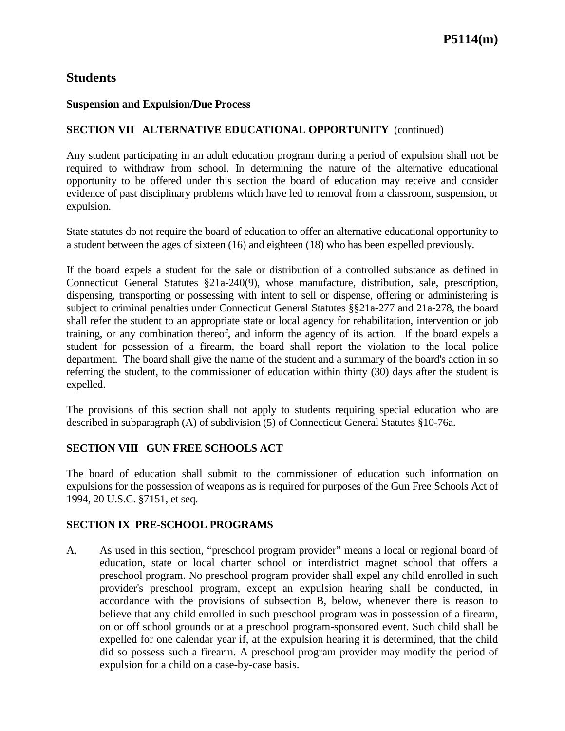#### **Suspension and Expulsion/Due Process**

### **SECTION VII ALTERNATIVE EDUCATIONAL OPPORTUNITY** (continued)

Any student participating in an adult education program during a period of expulsion shall not be required to withdraw from school. In determining the nature of the alternative educational opportunity to be offered under this section the board of education may receive and consider evidence of past disciplinary problems which have led to removal from a classroom, suspension, or expulsion.

State statutes do not require the board of education to offer an alternative educational opportunity to a student between the ages of sixteen (16) and eighteen (18) who has been expelled previously.

If the board expels a student for the sale or distribution of a controlled substance as defined in Connecticut General Statutes §21a-240(9), whose manufacture, distribution, sale, prescription, dispensing, transporting or possessing with intent to sell or dispense, offering or administering is subject to criminal penalties under Connecticut General Statutes §§21a-277 and 21a-278, the board shall refer the student to an appropriate state or local agency for rehabilitation, intervention or job training, or any combination thereof, and inform the agency of its action. If the board expels a student for possession of a firearm, the board shall report the violation to the local police department. The board shall give the name of the student and a summary of the board's action in so referring the student, to the commissioner of education within thirty (30) days after the student is expelled.

The provisions of this section shall not apply to students requiring special education who are described in subparagraph (A) of subdivision (5) of Connecticut General Statutes §10-76a.

### **SECTION VIII GUN FREE SCHOOLS ACT**

The board of education shall submit to the commissioner of education such information on expulsions for the possession of weapons as is required for purposes of the Gun Free Schools Act of 1994, 20 U.S.C. §7151, et seq.

#### **SECTION IX PRE-SCHOOL PROGRAMS**

A. As used in this section, "preschool program provider" means a local or regional board of education, state or local charter school or interdistrict magnet school that offers a preschool program. No preschool program provider shall expel any child enrolled in such provider's preschool program, except an expulsion hearing shall be conducted, in accordance with the provisions of subsection B, below, whenever there is reason to believe that any child enrolled in such preschool program was in possession of a firearm, on or off school grounds or at a preschool program-sponsored event. Such child shall be expelled for one calendar year if, at the expulsion hearing it is determined, that the child did so possess such a firearm. A preschool program provider may modify the period of expulsion for a child on a case-by-case basis.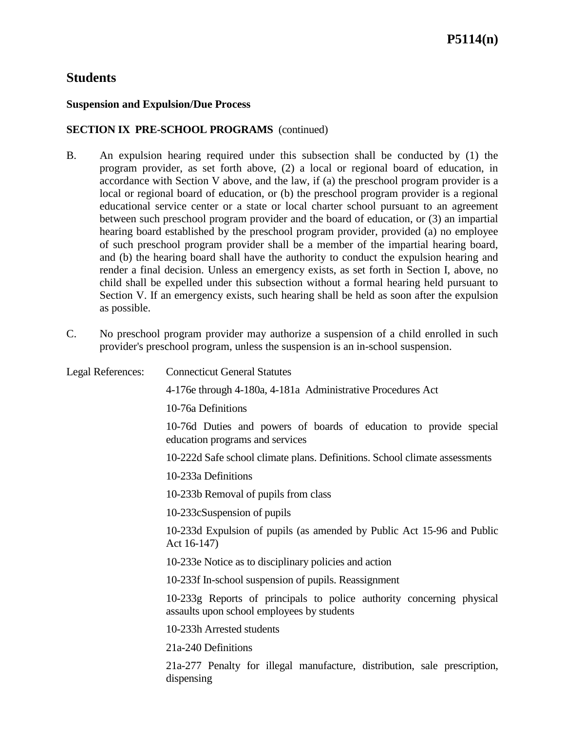#### **Suspension and Expulsion/Due Process**

### **SECTION IX PRE-SCHOOL PROGRAMS** (continued)

- B. An expulsion hearing required under this subsection shall be conducted by (1) the program provider, as set forth above, (2) a local or regional board of education, in accordance with Section V above, and the law, if (a) the preschool program provider is a local or regional board of education, or (b) the preschool program provider is a regional educational service center or a state or local charter school pursuant to an agreement between such preschool program provider and the board of education, or (3) an impartial hearing board established by the preschool program provider, provided (a) no employee of such preschool program provider shall be a member of the impartial hearing board, and (b) the hearing board shall have the authority to conduct the expulsion hearing and render a final decision. Unless an emergency exists, as set forth in Section I, above, no child shall be expelled under this subsection without a formal hearing held pursuant to Section V. If an emergency exists, such hearing shall be held as soon after the expulsion as possible.
- C. No preschool program provider may authorize a suspension of a child enrolled in such provider's preschool program, unless the suspension is an in-school suspension.

| Legal References: | <b>Connecticut General Statutes</b>                                                                                 |
|-------------------|---------------------------------------------------------------------------------------------------------------------|
|                   | 4-176e through 4-180a, 4-181a Administrative Procedures Act                                                         |
|                   | 10-76a Definitions                                                                                                  |
|                   | 10-76d Duties and powers of boards of education to provide special<br>education programs and services               |
|                   | 10-222d Safe school climate plans. Definitions. School climate assessments                                          |
|                   | 10-233a Definitions                                                                                                 |
|                   | 10-233b Removal of pupils from class                                                                                |
|                   | 10-233 cSuspension of pupils                                                                                        |
|                   | 10-233d Expulsion of pupils (as amended by Public Act 15-96 and Public<br>Act 16-147)                               |
|                   | 10-233e Notice as to disciplinary policies and action                                                               |
|                   | 10-233f In-school suspension of pupils. Reassignment                                                                |
|                   | 10-233g Reports of principals to police authority concerning physical<br>assaults upon school employees by students |
|                   | 10-233h Arrested students                                                                                           |
|                   | 21a-240 Definitions                                                                                                 |
|                   | 21a-277 Penalty for illegal manufacture, distribution, sale prescription,<br>dispensing                             |
|                   |                                                                                                                     |